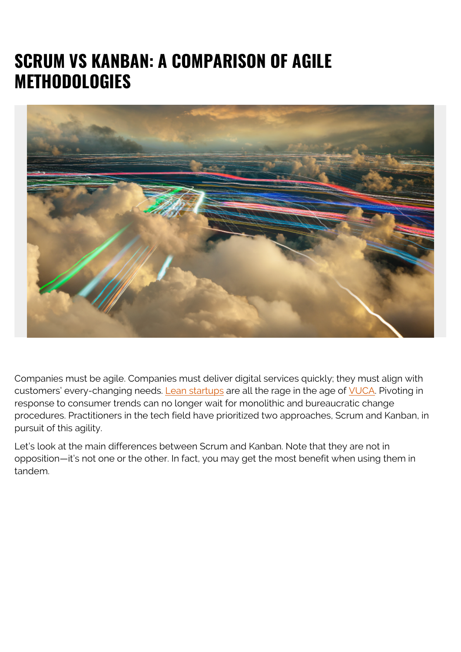# **SCRUM VS KANBAN: A COMPARISON OF AGILE METHODOLOGIES**



Companies must be agile. Companies must deliver digital services quickly; they must align with customers' every-changing needs. [Lean startups](https://blogs.bmc.com/blogs/lean-startup-enterprise/) are all the rage in the age of [VUCA](https://hbr.org/2014/01/what-vuca-really-means-for-you). Pivoting in response to consumer trends can no longer wait for monolithic and bureaucratic change procedures. Practitioners in the tech field have prioritized two approaches, Scrum and Kanban, in pursuit of this agility.

Let's look at the main differences between Scrum and Kanban. Note that they are not in opposition—it's not one or the other. In fact, you may get the most benefit when using them in tandem.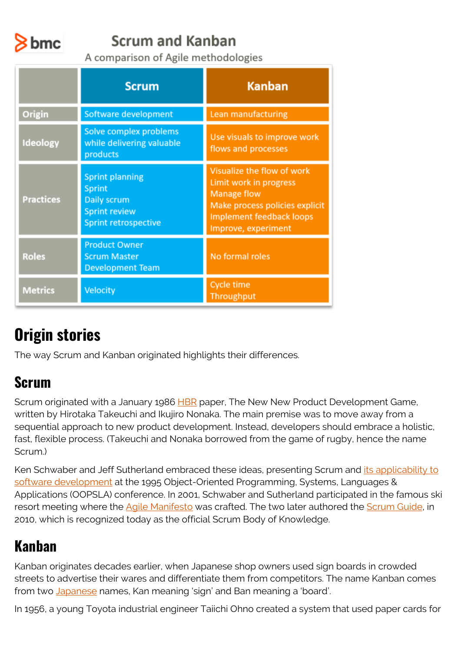

#### **Scrum and Kanban**

A comparison of Agile methodologies

|                  | <b>Scrum</b>                                                                                           | <b>Kanban</b>                                                                                                                                                   |
|------------------|--------------------------------------------------------------------------------------------------------|-----------------------------------------------------------------------------------------------------------------------------------------------------------------|
| Origin           | Software development                                                                                   | Lean manufacturing                                                                                                                                              |
| Ideology         | Solve complex problems<br>while delivering valuable<br>products                                        | Use visuals to improve work<br>flows and processes                                                                                                              |
| <b>Practices</b> | <b>Sprint planning</b><br>Sprint<br>Daily scrum<br><b>Sprint review</b><br><b>Sprint retrospective</b> | Visualize the flow of work<br>Limit work in progress<br><b>Manage flow</b><br>Make process policies explicit<br>Implement feedback loops<br>Improve, experiment |
| <b>Roles</b>     | <b>Product Owner</b><br><b>Scrum Master</b><br><b>Development Team</b>                                 | No formal roles                                                                                                                                                 |
| <b>Metrics</b>   | Velocity                                                                                               | <b>Cycle time</b><br>Throughput                                                                                                                                 |

# **Origin stories**

The way Scrum and Kanban originated highlights their differences.

#### **Scrum**

Scrum originated with a January 1986 [HBR](https://hbr.org/1986/01/the-new-new-product-development-game) paper, The New New Product Development Game, written by Hirotaka Takeuchi and Ikujiro Nonaka. The main premise was to move away from a sequential approach to new product development. Instead, developers should embrace a holistic, fast, flexible process. (Takeuchi and Nonaka borrowed from the game of rugby, hence the name Scrum.)

Ken Schwaber and Jeff Sutherland embraced these ideas, presenting Scrum and [its applicability to](https://www.scrum.org/resources/scrum-development-process) [software development](https://www.scrum.org/resources/scrum-development-process) at the 1995 Object-Oriented Programming, Systems, Languages & Applications (OOPSLA) conference. In 2001, Schwaber and Sutherland participated in the famous ski resort meeting where the **Agile Manifesto** was crafted. The two later authored the **Scrum Guide**, in 2010, which is recognized today as the official Scrum Body of Knowledge.

#### **Kanban**

Kanban originates decades earlier, when Japanese shop owners used sign boards in crowded streets to advertise their wares and differentiate them from competitors. The name Kanban comes from two [Japanese](https://kanbantool.com/kanban-guide/kanban-history) names, Kan meaning 'sign' and Ban meaning a 'board'.

In 1956, a young Toyota industrial engineer Taiichi Ohno created a system that used paper cards for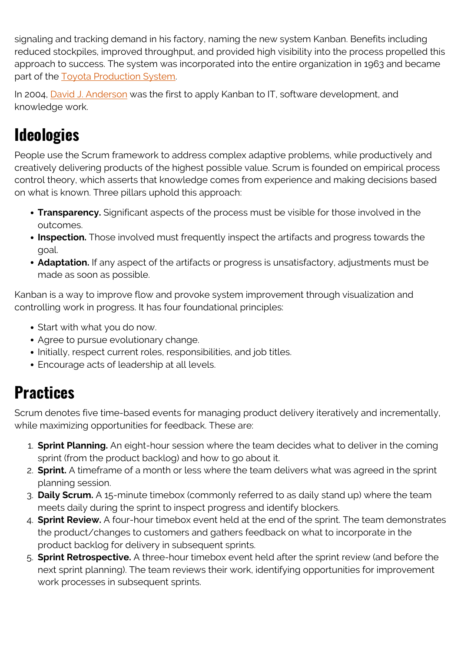signaling and tracking demand in his factory, naming the new system Kanban. Benefits including reduced stockpiles, improved throughput, and provided high visibility into the process propelled this approach to success. The system was incorporated into the entire organization in 1963 and became part of the [Toyota Production System.](https://global.toyota/en/company/vision-and-philosophy/production-system/)

In 2004, [David J. Anderson](https://djaa.com/home/about/#team) was the first to apply Kanban to IT, software development, and knowledge work.

# **Ideologies**

People use the Scrum framework to address complex adaptive problems, while productively and creatively delivering products of the highest possible value. Scrum is founded on empirical process control theory, which asserts that knowledge comes from experience and making decisions based on what is known. Three pillars uphold this approach:

- **Transparency.** Significant aspects of the process must be visible for those involved in the outcomes.
- **Inspection.** Those involved must frequently inspect the artifacts and progress towards the goal.
- **Adaptation.** If any aspect of the artifacts or progress is unsatisfactory, adjustments must be made as soon as possible.

Kanban is a way to improve flow and provoke system improvement through visualization and controlling work in progress. It has four foundational principles:

- Start with what you do now.
- Agree to pursue evolutionary change.
- Initially, respect current roles, responsibilities, and job titles.
- Encourage acts of leadership at all levels.

## **Practices**

Scrum denotes five time-based events for managing product delivery iteratively and incrementally, while maximizing opportunities for feedback. These are:

- 1. **Sprint Planning.** An eight-hour session where the team decides what to deliver in the coming sprint (from the product backlog) and how to go about it.
- 2. **Sprint.** A timeframe of a month or less where the team delivers what was agreed in the sprint planning session.
- 3. **Daily Scrum.** A 15-minute timebox (commonly referred to as daily stand up) where the team meets daily during the sprint to inspect progress and identify blockers.
- 4. **Sprint Review.** A four-hour timebox event held at the end of the sprint. The team demonstrates the product/changes to customers and gathers feedback on what to incorporate in the product backlog for delivery in subsequent sprints.
- 5. **Sprint Retrospective.** A three-hour timebox event held after the sprint review (and before the next sprint planning). The team reviews their work, identifying opportunities for improvement work processes in subsequent sprints.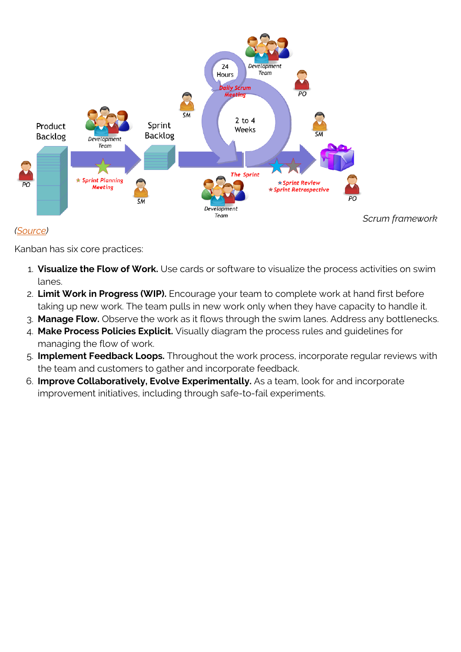

#### *([Source](https://www.axelos.com/store/book/prince2-agile))*

Kanban has six core practices:

- 1. **Visualize the Flow of Work.** Use cards or software to visualize the process activities on swim lanes.
- 2. **Limit Work in Progress (WIP).** Encourage your team to complete work at hand first before taking up new work. The team pulls in new work only when they have capacity to handle it.
- 3. **Manage Flow.** Observe the work as it flows through the swim lanes. Address any bottlenecks.
- 4. **Make Process Policies Explicit.** Visually diagram the process rules and guidelines for managing the flow of work.
- 5. **Implement Feedback Loops.** Throughout the work process, incorporate regular reviews with the team and customers to gather and incorporate feedback.
- 6. **Improve Collaboratively, Evolve Experimentally.** As a team, look for and incorporate improvement initiatives, including through safe-to-fail experiments.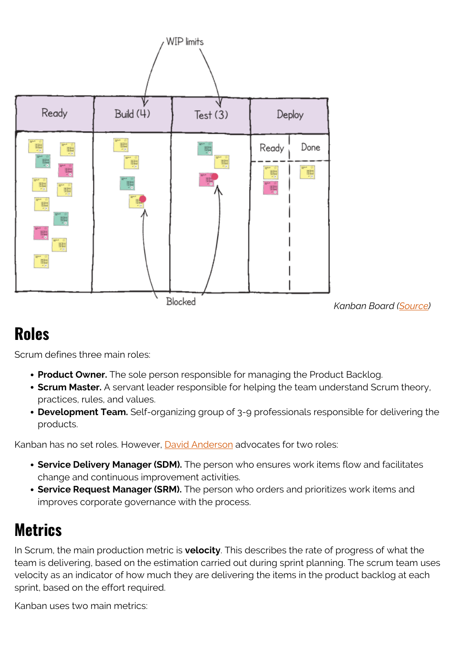

*Kanban Board ([Source](https://www.axelos.com/store/book/prince2-agile))*

## **Roles**

Scrum defines three main roles:

- **Product Owner.** The sole person responsible for managing the Product Backlog.
- **Scrum Master.** A servant leader responsible for helping the team understand Scrum theory, practices, rules, and values.
- **Development Team.** Self-organizing group of 3-9 professionals responsible for delivering the products.

Kanban has no set roles. However, [David Anderson](https://resources.kanban.university/emerging-roles-in-kanban/) advocates for two roles:

- **Service Delivery Manager (SDM).** The person who ensures work items flow and facilitates change and continuous improvement activities.
- **Service Request Manager (SRM).** The person who orders and prioritizes work items and improves corporate governance with the process.

# **Metrics**

In Scrum, the main production metric is **velocity**. This describes the rate of progress of what the team is delivering, based on the estimation carried out during sprint planning. The scrum team uses velocity as an indicator of how much they are delivering the items in the product backlog at each sprint, based on the effort required.

Kanban uses two main metrics: